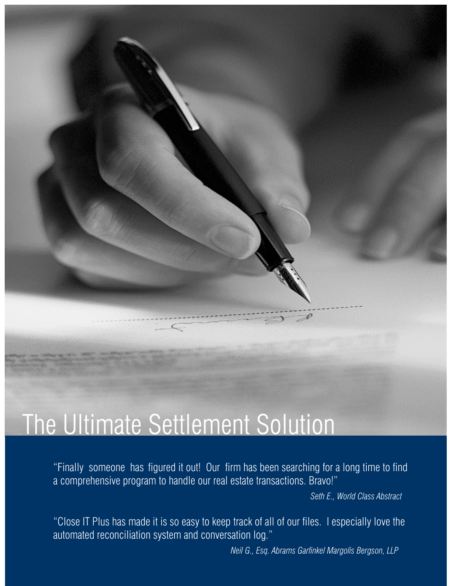## The Ultimate Settlement Solution

"Finally someone has figured it out! Our firm has been searching for a long time to find a comprehensive program to handle our real estate transactions. Bravo!"

*Seth E., World Class Abstract* 

"Close IT Plus has made it is so easy to keep track of all of our files. I especially love the automated reconciliation system and conversation log."

 *Neil G., Esq. Abrams Garfinkel Margolis Bergson, LLP*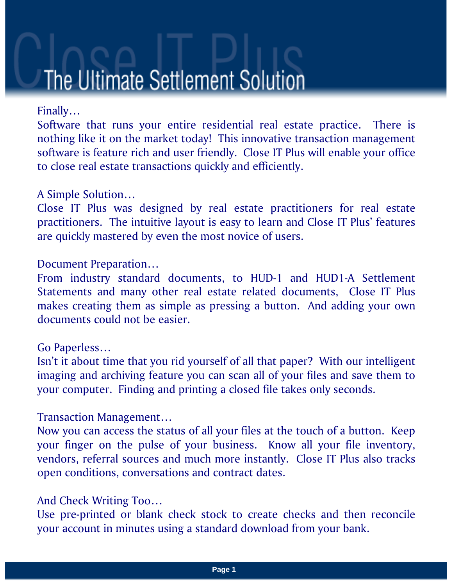## The Ultimate Settlement Solution

#### Finally…

Software that runs your entire residential real estate practice. There is nothing like it on the market today! This innovative transaction management software is feature rich and user friendly. Close IT Plus will enable your office to close real estate transactions quickly and efficiently.

#### A Simple Solution…

Close IT Plus was designed by real estate practitioners for real estate practitioners. The intuitive layout is easy to learn and Close IT Plus' features are quickly mastered by even the most novice of users.

#### Document Preparation…

From industry standard documents, to HUD-1 and HUD1-A Settlement Statements and many other real estate related documents, Close IT Plus makes creating them as simple as pressing a button. And adding your own documents could not be easier.

#### Go Paperless…

Isn't it about time that you rid yourself of all that paper? With our intelligent imaging and archiving feature you can scan all of your files and save them to your computer. Finding and printing a closed file takes only seconds.

#### Transaction Management…

Now you can access the status of all your files at the touch of a button. Keep your finger on the pulse of your business. Know all your file inventory, vendors, referral sources and much more instantly. Close IT Plus also tracks open conditions, conversations and contract dates.

#### And Check Writing Too…

Use pre-printed or blank check stock to create checks and then reconcile your account in minutes using a standard download from your bank.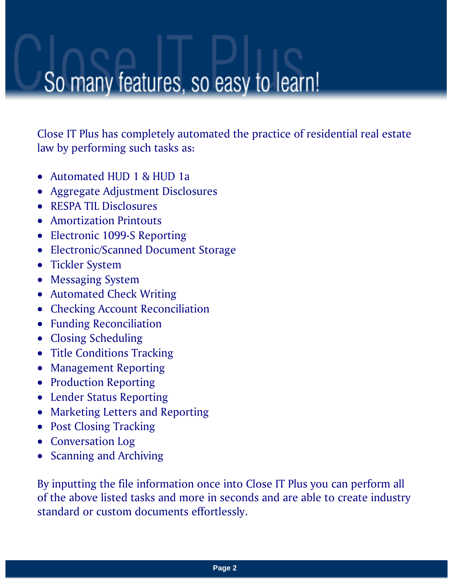### So many features, so easy to learn!

Close IT Plus has completely automated the practice of residential real estate law by performing such tasks as:

- Automated HUD 1 & HUD 1 a
- Aggregate Adjustment Disclosures
- RESPA TIL Disclosures
- Amortization Printouts
- Electronic 1099-S Reporting
- Electronic/Scanned Document Storage
- Tickler System
- Messaging System
- Automated Check Writing
- Checking Account Reconciliation
- Funding Reconciliation
- Closing Scheduling
- Title Conditions Tracking
- Management Reporting
- Production Reporting
- Lender Status Reporting
- Marketing Letters and Reporting
- Post Closing Tracking
- Conversation Log
- Scanning and Archiving

By inputting the file information once into Close IT Plus you can perform all of the above listed tasks and more in seconds and are able to create industry standard or custom documents effortlessly.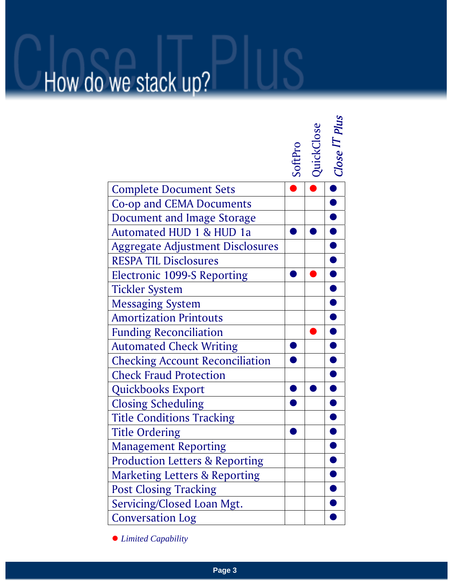# How do we stack up?

|                                           | SoftPro | QuickClose | Close IT Plus |
|-------------------------------------------|---------|------------|---------------|
| <b>Complete Document Sets</b>             |         |            |               |
| <b>Co-op and CEMA Documents</b>           |         |            |               |
| <b>Document and Image Storage</b>         |         |            |               |
| Automated HUD 1 & HUD 1a                  |         |            |               |
| <b>Aggregate Adjustment Disclosures</b>   |         |            |               |
| <b>RESPA TIL Disclosures</b>              |         |            |               |
| <b>Electronic 1099-S Reporting</b>        |         |            |               |
| <b>Tickler System</b>                     |         |            |               |
| <b>Messaging System</b>                   |         |            |               |
| <b>Amortization Printouts</b>             |         |            |               |
| <b>Funding Reconciliation</b>             |         |            |               |
| <b>Automated Check Writing</b>            |         |            |               |
| <b>Checking Account Reconciliation</b>    |         |            |               |
| <b>Check Fraud Protection</b>             |         |            |               |
| Quickbooks Export                         |         |            |               |
| <b>Closing Scheduling</b>                 |         |            |               |
| <b>Title Conditions Tracking</b>          |         |            |               |
| <b>Title Ordering</b>                     |         |            |               |
| <b>Management Reporting</b>               |         |            |               |
| <b>Production Letters &amp; Reporting</b> |         |            |               |
| <b>Marketing Letters &amp; Reporting</b>  |         |            |               |
| <b>Post Closing Tracking</b>              |         |            |               |
| Servicing/Closed Loan Mgt.                |         |            |               |
| <b>Conversation Log</b>                   |         |            |               |

z *Limited Capability*